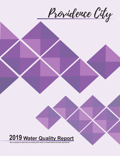Providence City

# **2019 Water Quality Report**

**"We are pleased to report that our drinking water meets or exceeds federal and state requirements"**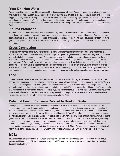# **Your Drinking Water**

We're pleased to present to you this year's Annual Drinking Water Quality Report. This report is designed to inform you about the quality of the water and services we deliver to you every day. Our constant goal is to provide you with a safe and dependable supply of drinking water. We want you to understand the efforts we make to continually improve the water treatment process and protect our water resources. We are committed to ensuring the quality of your water. Our water sources have been determined to be groundwater sources. Our water source comes from Broad Hollow Spring, Dales Well, Alder-West Well, and 400 S Providence Well.

### **Source Protection**

The Drinking Water Source Protection Plan for Providence City is available for your review. It contains information about source protection zones, potential contamination sources and management strategies to protect our drinking water. Our sources have been determined to have a low level of susceptibility from potential contamination. We have also developed management strategies to further protect our sources from contamination. Please contact us if you have questions or concerns about our source protection plan.

## **Cross Connection**

There are many connections to our water distribution system. When connections are properly installed and maintained, the concerns are very minimal. However, unapproved and improper piping changes or connections can adversely affect not only the availability, but also the quality of the water. A cross connection may let polluted water or even chemicals mingle into the water supply system when not properly protected. This not only compromises the water quality but can also affect your health. So, what can you do? Do not make or allow improper connections at your homes. Even that unprotected garden hose lying in the puddle next to the driveway is a cross connection. The unprotected lawn sprinkler system after you have fertilized or sprayed is also a cross connection. When the cross connection is allowed to exist at your home, it will affect you and your family first. If you'd like to learn more about helping to protect the quality of our water, call us for further information about ways you can help.

#### **Lead**

If present, elevated levels of lead can cause serious health problems, especially for pregnant women and young children. Lead in drinking water is primarily from materials and components associated with service lines and home plumbing. Providence City is responsible for providing high quality drinking water, but cannot control the variety of materials used in plumbing components. When your water has been sitting for several hours, you can minimize the potential for lead exposure by flushing your tap for 30 seconds to 2 minutes before using water for drinking or cooking. If you are concerned about lead in your water, you may wish to have your water tested. Information on lead in drinking water, testing methods, and steps you can take to minimize exposure is available from the safe Drinking Water Hotline or at http://www.epa.gov/safewater/lead.

# **Potential Health Concerns Related to Drinking Water**

Some people may be more vulnerable to contaminants in drinking water than the general population. Immunocompromised persons such as persons with cancer undergoing chemotherapy, persons who have undergone organ transplants, people with HIV/AIDS or other immune system disorders, some elderly, and infants can be particularly at risk from infections. These people should seek advice from their health care providers about drinking water. EPA/CDC guidelines on appropriate means to lessen the risk of infection by cryptosporidium and other microbiological contaminants are available from the Safe Drinking Water Hotline (800-426-4791). All sources of drinking water are subject to potential contamination by constituents that are naturally occurring or manmade. Those constituents can be microbes, organic or inorganic chemicals, or radioactive materials. All drinking water, including bottled water, may reasonably be expected to contain at least small amounts of some contaminants. The presence of contaminants does not necessarily indicate that the water poses a health risk. More information about contaminants and potential health effects can be obtained by calling the Environmental Protection Agency's Safe Drinking Water Hotline at 1-800-426-4791.

# **MCLs**

MCLs are set at very stringent levels. To understand the possible health effects described for many regulated constituents, a person would have to drink 2 liters of water every day at the MCL level for a lifetime to have a one-in-a-million chance of having the described health effect.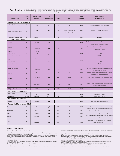Providence City routinely monitors for constituents in our drinking water in accordance with the Federal and Utah State laws. The following table shows the results of our and Dtah State Laws. The following table shows the amounts of some constituents. It's important to remember that the presence of these constituents does not necessarily pose a health risk.

| Contaminant                                                     | <b>Violation</b><br>Y/N | <b>Level Detected</b><br>Low-High | Unit<br><b>Measurement</b> | <b>MCLG</b>    | <b>MCL</b>                                                                                                                     | <b>Date</b><br><b>Sampled</b> | <b>Likely Source of</b><br>Contamination                                                                                                   |
|-----------------------------------------------------------------|-------------------------|-----------------------------------|----------------------------|----------------|--------------------------------------------------------------------------------------------------------------------------------|-------------------------------|--------------------------------------------------------------------------------------------------------------------------------------------|
| <b>Microbiological Contaminants</b>                             |                         |                                   |                            |                |                                                                                                                                |                               |                                                                                                                                            |
| <b>Total Coliform Bacteria</b>                                  | $\mathsf N$             | <b>ND</b>                         | N/A                        | $\mathsf 0$    | $5\phantom{.0}$                                                                                                                | 2019                          | Naturally present in the enviornment                                                                                                       |
| Fecal Coliform and E. coli                                      | N                       | <b>ND</b>                         | N/A                        | $\mathbf 0$    | If a routine sample and repeat<br>sample are total coliform<br>positive, and one is also fecal<br>coliform or E. coli positive | 2019                          | Human and animal fecal waste                                                                                                               |
| Turbidity for Ground Water                                      | $\mathsf{N}$            | $0.09 - 0.26$                     | <b>NTU</b>                 | $\mathsf{O}$   | $\sqrt{5}$                                                                                                                     | 2019                          | Soil Runoff                                                                                                                                |
| <b>Inorganic Contaminants</b>                                   |                         |                                   |                            |                |                                                                                                                                |                               |                                                                                                                                            |
| Arsenic                                                         | $\mathsf{N}$            | <b>ND-0.05</b>                    | ppb                        | $\bf 0$        | 10                                                                                                                             | 2019                          | Erosion of natural deposits; runoff from orchards; runoff from<br>glass and electronics production wastes                                  |
| <b>Barium</b>                                                   | N                       | 0.041-0.183                       | ppm                        | $\overline{2}$ | $\overline{2}$                                                                                                                 | 2019                          | Discharge of drilling wates; discharge from metal refineries;<br>erosion of natural deposits                                               |
| Copper<br>a. 90% results<br>b. # of sites that exceed<br>the AL | N                       | a. 0.196<br>b.0                   | ppm                        | 1.3            | $AL-1.3$                                                                                                                       | 2018                          | Corrosion of household plumbing systems; erosion of natural<br>deposits.                                                                   |
| Lead<br>a. 90% results<br>b. # of sites that exeed<br>the AL    | N                       | a.3.2<br>b.1                      | ppb                        | $\mathbf 0$    | $AL=15$                                                                                                                        | 2018                          | Corrosion of household plumbing systems; erosion of natural<br>deposits                                                                    |
| Nitrate (as Nitrogen)                                           | N                       | 0.423-6.425                       | ppm                        | 10             | 10                                                                                                                             | 2019                          | Runoff from fertilizer use; leaching from septic tanks, sew-<br>age; erosion of natural deposits                                           |
| Selenium                                                        | N                       | $ND-1$                            | ppb                        | 50             | 50                                                                                                                             | 2019                          | Discharge from petroleum and metal refineries; erosion of<br>natural deposits; discharge from mines                                        |
| Sodium                                                          | $\mathsf{N}$            | 2.492-19.187                      | ppm                        | 500            | None                                                                                                                           | 2019                          | Erosion of natural deposits; discharge from refineries and<br>factories; runoff from landfills                                             |
| Sulfate                                                         | N                       | 8.912-19.176                      | ppm                        | 1000           | 1000                                                                                                                           | 2019                          | Erosion of natural deposits; discharge from refineries and<br>factories; runoff from landfills                                             |
| <b>TDS (Total Dissolved Solids)</b>                             | $\mathsf{N}$            | 180-404                           | ppm                        | 2000           | 2000                                                                                                                           | 2019                          | Erosion of natural deposits                                                                                                                |
| <b>Radioactive Contaminants</b>                                 |                         |                                   |                            |                |                                                                                                                                |                               |                                                                                                                                            |
| <b>Alpha Emitters</b>                                           | $\mathsf N$             | $ND-3$                            | pCi/1                      | $\mathbf 0$    | 15                                                                                                                             | 2019                          | Erosion of natural deposits                                                                                                                |
| Radium 228                                                      | $0.1 - 0.46$            | $0.42 - 0.51$                     | pCi/1                      | $\mathbf 0$    | $\sqrt{5}$                                                                                                                     | 2019                          | Erosion of natural deposits                                                                                                                |
| <b>Disinfection By-Products</b>                                 |                         |                                   |                            |                |                                                                                                                                |                               |                                                                                                                                            |
| Chlorine                                                        | N                       | $0.01 - 0.33$                     | ppm                        | $\overline{4}$ | $\overline{4}$                                                                                                                 | 2019                          | Water additive used to control microbes                                                                                                    |
| <b>Unregulated Parameters- UCMR</b>                             |                         |                                   |                            |                |                                                                                                                                |                               |                                                                                                                                            |
| <b>Bromide</b>                                                  | ${\sf N}$               | 23                                | ug/L                       | <b>UR</b>      | <b>NE</b>                                                                                                                      | 2019                          | The unregulated Contaminant Monitoring Rule (UCMR) is a monitoring<br>program mandated by EPA. It requires public water systems to monitor |
| Manganese                                                       | ${\sf N}$               | $0.45 - 10$                       | ug/L                       | <b>UR</b>      | <b>NE</b>                                                                                                                      | 2019                          | various sites every three (3) years for different parameters selected by EPA.                                                              |
| HAA5                                                            | ${\sf N}$               | $0.29 - 4$                        | ug/L                       | UR             | <b>NE</b>                                                                                                                      | 2019                          | This rule collects occurrence data on parameters that already have an MCL                                                                  |
| HAA6Br                                                          | ${\sf N}$               | $0.35 - 0.98$                     | ug/L                       | UR             | <b>NE</b>                                                                                                                      | 2019                          | but would like to know the occurrence of it at significantly lower levels than<br>the current analytical                                   |
| HAA9                                                            | N                       | $0.64 - 4.98$                     | ug/L                       | <b>UR</b>      | <b>NE</b>                                                                                                                      | 2019                          | method allows. These numbers represent samples taken during the<br>monitoring period which began in 2019                                   |

#### **Table Definitions**

Non-Detects (ND) - laboratory analysis indicates that the constituent is not present.<br>ND/Low - High - For water systems that have multiple sources of water, the Utah Division of Drinking Water has given water systems the o

Parts per million (ppm) or Milligrams per liter (mg/l) - one part per million corresponds to one minute in two years or a single penny in \$10,000.<br>Parts per billion (ppb) or Micrograms per liter (ug/l) - one part per billi

Parts per trillion (ppt) or Nanograms per liter (nanograms/l) - one part per trillion corresponds to one minute in 2,000,000 years, or a single

penny in \$10,000,000,000.<br>Parts per quadrillion (ppq) or Picograms per liter (picograms/l) - one part per quadrillion corresponds to one minute in 2,000,000,000 years or<br>one penny in \$10,000,000,000,000.

Picocuries per liter (pCi/L) - picocuries per liter is a measure of the radioactivity in water.<br>Millinems per year (mremlyr) - measure of radiation absorbed by the body.<br>Million Fibers per Liter (MFL) - million fibers per

Nephelometric Turbidity Unit (NTU) - nephelometric turbidity unit is a measure of the clarity of water. Turbidity in excess of 5 NTU is just noticeable to the average person.

Action Level (AL) - the concentration of a contaminant which, if exceeded, triggers treatment or other requirements which a water system must follow.

Treatment Technique (TT) - A treatment technique is a required process intended to reduce the level of a contaminant in drinking water.

Maximum Contaminant Level (MCL) - The "Maximum Allowed" (MCL) is the highest level of a contaminant that is allowed in drinking water. MCLs<br>are set as close to the MCLGs as feasible using the best available treatment techn

expected risk to health. MCLGs allow for a margin of safety.<br>Maximum Residual Disinfectant Level (MRDL) - The highest level of a disinfectant allowed in drinking water. There is convincing evidence that<br>addition of a disin